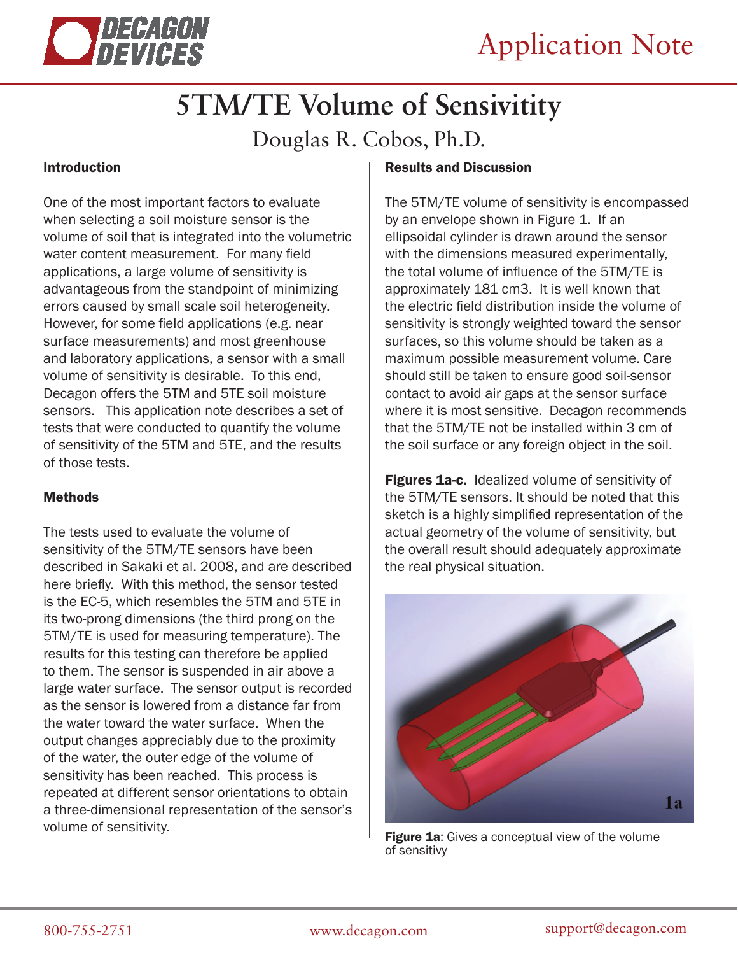

# **5TM/TE Volume of Sensivitity**

Douglas R. Cobos, Ph.D.

## Introduction

One of the most important factors to evaluate when selecting a soil moisture sensor is the volume of soil that is integrated into the volumetric water content measurement. For many field applications, a large volume of sensitivity is advantageous from the standpoint of minimizing errors caused by small scale soil heterogeneity. However, for some field applications (e.g. near surface measurements) and most greenhouse and laboratory applications, a sensor with a small volume of sensitivity is desirable. To this end, Decagon offers the 5TM and 5TE soil moisture sensors. This application note describes a set of tests that were conducted to quantify the volume of sensitivity of the 5TM and 5TE, and the results of those tests.

### Methods

The tests used to evaluate the volume of sensitivity of the 5TM/TE sensors have been described in Sakaki et al. 2008, and are described here briefly. With this method, the sensor tested is the EC-5, which resembles the 5TM and 5TE in its two-prong dimensions (the third prong on the 5TM/TE is used for measuring temperature). The results for this testing can therefore be applied to them. The sensor is suspended in air above a large water surface. The sensor output is recorded as the sensor is lowered from a distance far from the water toward the water surface. When the output changes appreciably due to the proximity of the water, the outer edge of the volume of sensitivity has been reached. This process is repeated at different sensor orientations to obtain a three-dimensional representation of the sensor's volume of sensitivity.

## Results and Discussion

The 5TM/TE volume of sensitivity is encompassed by an envelope shown in Figure 1. If an ellipsoidal cylinder is drawn around the sensor with the dimensions measured experimentally, the total volume of influence of the 5TM/TE is approximately 181 cm3. It is well known that the electric field distribution inside the volume of sensitivity is strongly weighted toward the sensor surfaces, so this volume should be taken as a maximum possible measurement volume. Care should still be taken to ensure good soil-sensor contact to avoid air gaps at the sensor surface where it is most sensitive. Decagon recommends that the 5TM/TE not be installed within 3 cm of the soil surface or any foreign object in the soil.

**Figures 1a-c.** Idealized volume of sensitivity of the 5TM/TE sensors. It should be noted that this sketch is a highly simplified representation of the actual geometry of the volume of sensitivity, but the overall result should adequately approximate the real physical situation.



Figure 1a: Gives a conceptual view of the volume of sensitivy